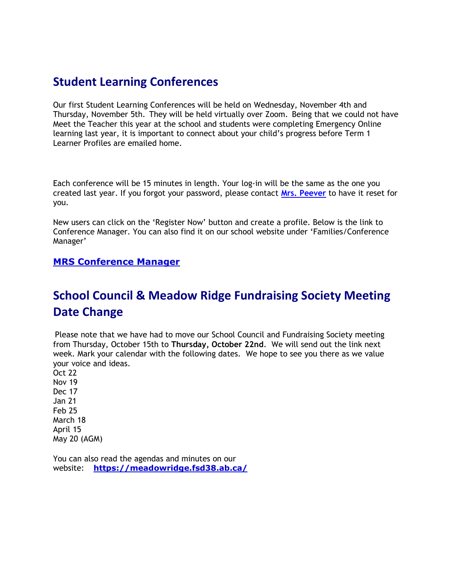### Student Learning Conferences

Our first Student Learning Conferences will be held on Wednesday, November 4th and Thursday, November 5th. They will be held virtually over Zoom. Being that we could not have Meet the Teacher this year at the school and students were completing Emergency Online learning last year, it is important to connect about your child's progress before Term 1 Learner Profiles are emailed home.

Each conference will be 15 minutes in length. Your log-in will be the same as the one you created last year. If you forgot your password, please contact Mrs. Peever to have it reset for you.

New users can click on the 'Register Now' button and create a profile. Below is the link to Conference Manager. You can also find it on our school website under 'Families/Conference Manager'

#### MRS Conference Manager

# School Council & Meadow Ridge Fundraising Society Meeting Date Change

Please note that we have had to move our School Council and Fundraising Society meeting from Thursday, October 15th to Thursday, October 22nd. We will send out the link next week. Mark your calendar with the following dates. We hope to see you there as we value your voice and ideas.

Oct 22 Nov 19 Dec 17 Jan 21 Feb 25 March 18 April 15 May 20 (AGM)

You can also read the agendas and minutes on our website: https://meadowridge.fsd38.ab.ca/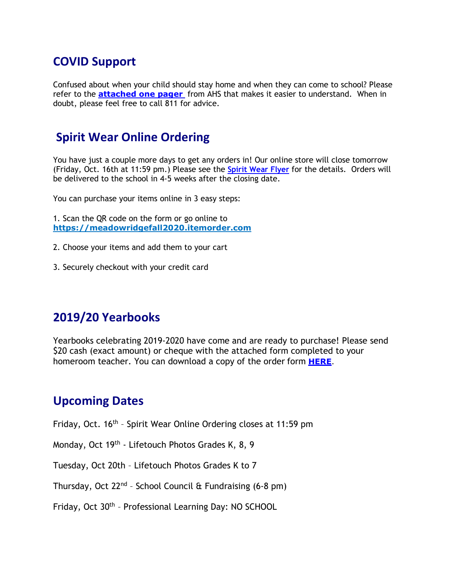## COVID Support

Confused about when your child should stay home and when they can come to school? Please refer to the **attached one pager** from AHS that makes it easier to understand. When in doubt, please feel free to call 811 for advice.

## Spirit Wear Online Ordering

You have just a couple more days to get any orders in! Our online store will close tomorrow (Friday, Oct. 16th at 11:59 pm.) Please see the Spirit Wear Flyer for the details. Orders will be delivered to the school in 4-5 weeks after the closing date.

You can purchase your items online in 3 easy steps:

1. Scan the QR code on the form or go online to https://meadowridgefall2020.itemorder.com

- 2. Choose your items and add them to your cart
- 3. Securely checkout with your credit card

### 2019/20 Yearbooks

Yearbooks celebrating 2019-2020 have come and are ready to purchase! Please send \$20 cash (exact amount) or cheque with the attached form completed to your homeroom teacher. You can download a copy of the order form **HERE**.

#### Upcoming Dates

Friday, Oct. 16<sup>th</sup> - Spirit Wear Online Ordering closes at 11:59 pm

Monday, Oct 19th - Lifetouch Photos Grades K, 8, 9

Tuesday, Oct 20th – Lifetouch Photos Grades K to 7

Thursday, Oct  $22^{nd}$  - School Council & Fundraising (6-8 pm)

Friday, Oct 30th – Professional Learning Day: NO SCHOOL